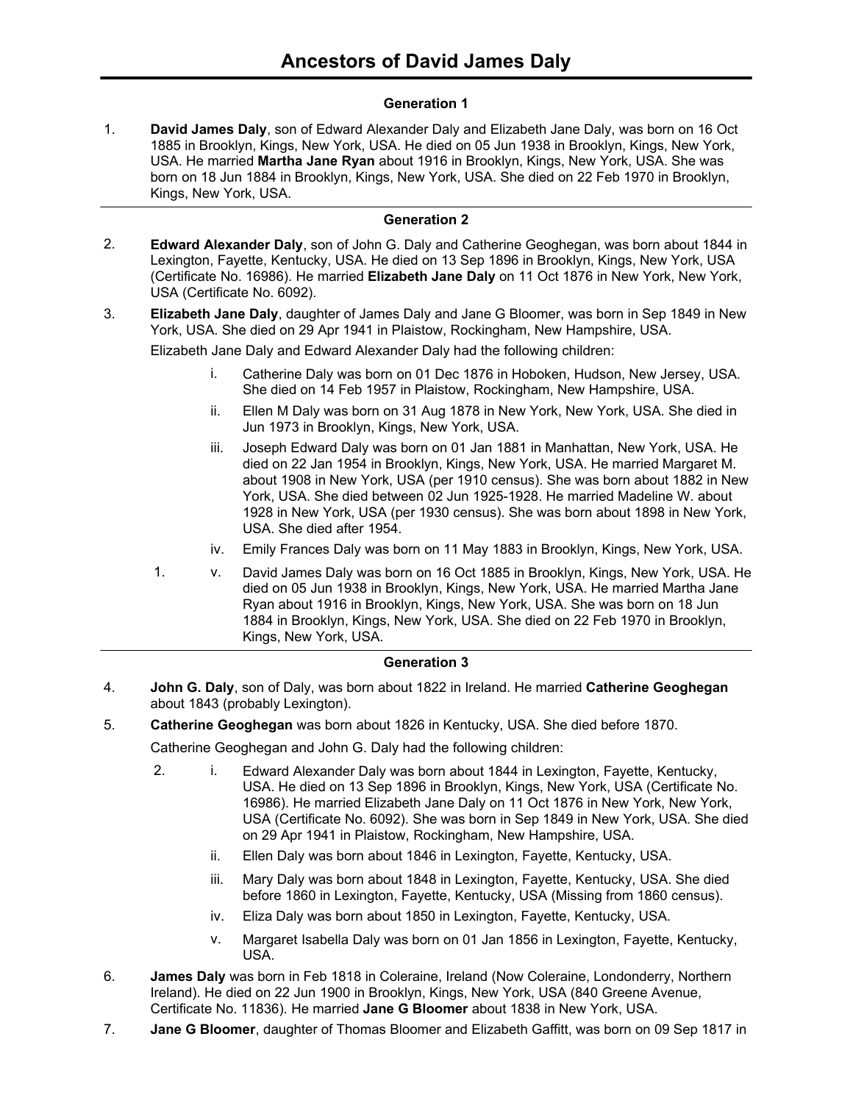## **Generation 1**

**David James Daly**, son of Edward Alexander Daly and Elizabeth Jane Daly, was born on 16 Oct 1885 in Brooklyn, Kings, New York, USA. He died on 05 Jun 1938 in Brooklyn, Kings, New York, USA. He married **Martha Jane Ryan** about 1916 in Brooklyn, Kings, New York, USA. She was born on 18 Jun 1884 in Brooklyn, Kings, New York, USA. She died on 22 Feb 1970 in Brooklyn, Kings, New York, USA. 1.

#### **Generation 2**

- **Edward Alexander Daly**, son of John G. Daly and Catherine Geoghegan, was born about 1844 in Lexington, Fayette, Kentucky, USA. He died on 13 Sep 1896 in Brooklyn, Kings, New York, USA (Certificate No. 16986). He married **Elizabeth Jane Daly** on 11 Oct 1876 in New York, New York, USA (Certificate No. 6092). 2.
- **Elizabeth Jane Daly**, daughter of James Daly and Jane G Bloomer, was born in Sep 1849 in New York, USA. She died on 29 Apr 1941 in Plaistow, Rockingham, New Hampshire, USA. 3.

Elizabeth Jane Daly and Edward Alexander Daly had the following children:

- i. Catherine Daly was born on 01 Dec 1876 in Hoboken, Hudson, New Jersey, USA. She died on 14 Feb 1957 in Plaistow, Rockingham, New Hampshire, USA.
- ii. Ellen M Daly was born on 31 Aug 1878 in New York, New York, USA. She died in Jun 1973 in Brooklyn, Kings, New York, USA.
- iii. Joseph Edward Daly was born on 01 Jan 1881 in Manhattan, New York, USA. He died on 22 Jan 1954 in Brooklyn, Kings, New York, USA. He married Margaret M. about 1908 in New York, USA (per 1910 census). She was born about 1882 in New York, USA. She died between 02 Jun 1925-1928. He married Madeline W. about 1928 in New York, USA (per 1930 census). She was born about 1898 in New York, USA. She died after 1954.
- iv. Emily Frances Daly was born on 11 May 1883 in Brooklyn, Kings, New York, USA.
- 1. v. David James Daly was born on 16 Oct 1885 in Brooklyn, Kings, New York, USA. He died on 05 Jun 1938 in Brooklyn, Kings, New York, USA. He married Martha Jane Ryan about 1916 in Brooklyn, Kings, New York, USA. She was born on 18 Jun 1884 in Brooklyn, Kings, New York, USA. She died on 22 Feb 1970 in Brooklyn, Kings, New York, USA.

#### **Generation 3**

- **John G. Daly**, son of Daly, was born about 1822 in Ireland. He married **Catherine Geoghegan** about 1843 (probably Lexington). 4.
- 5. **Catherine Geoghegan** was born about 1826 in Kentucky, USA. She died before 1870.

Catherine Geoghegan and John G. Daly had the following children:

- 2. i. Edward Alexander Daly was born about 1844 in Lexington, Fayette, Kentucky, USA. He died on 13 Sep 1896 in Brooklyn, Kings, New York, USA (Certificate No. 16986). He married Elizabeth Jane Daly on 11 Oct 1876 in New York, New York, USA (Certificate No. 6092). She was born in Sep 1849 in New York, USA. She died on 29 Apr 1941 in Plaistow, Rockingham, New Hampshire, USA.
	- ii. Ellen Daly was born about 1846 in Lexington, Fayette, Kentucky, USA.
	- iii. Mary Daly was born about 1848 in Lexington, Fayette, Kentucky, USA. She died before 1860 in Lexington, Fayette, Kentucky, USA (Missing from 1860 census).
	- iv. Eliza Daly was born about 1850 in Lexington, Fayette, Kentucky, USA.
	- v. Margaret Isabella Daly was born on 01 Jan 1856 in Lexington, Fayette, Kentucky, USA.
- **James Daly** was born in Feb 1818 in Coleraine, Ireland (Now Coleraine, Londonderry, Northern Ireland). He died on 22 Jun 1900 in Brooklyn, Kings, New York, USA (840 Greene Avenue, Certificate No. 11836). He married **Jane G Bloomer** about 1838 in New York, USA. 6.
- 7. **Jane G Bloomer**, daughter of Thomas Bloomer and Elizabeth Gaffitt, was born on 09 Sep 1817 in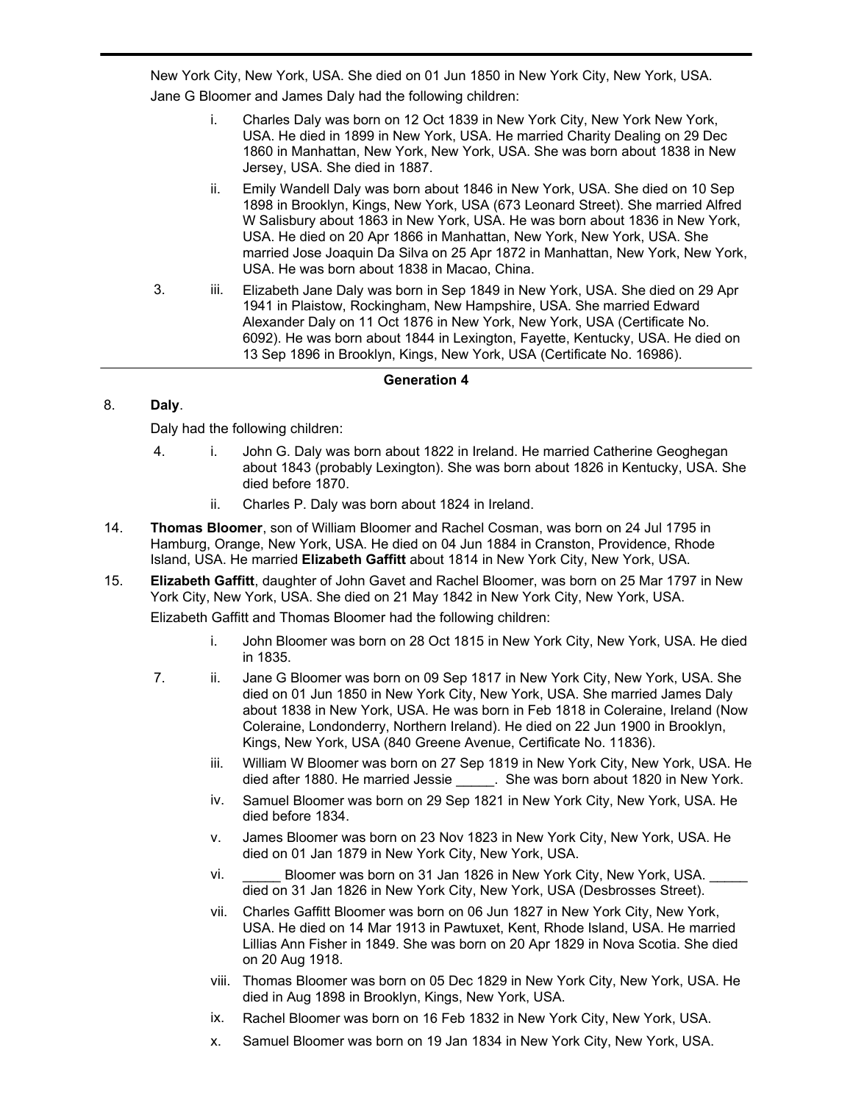**Jane G Bloomer**, daughter of Thomas Bloomer and Elizabeth Gaffitt, was born on 09 Sep 1817 in New York City, New York, USA. She died on 01 Jun 1850 in New York City, New York, USA. Jane G Bloomer and James Daly had the following children:

- i. Charles Daly was born on 12 Oct 1839 in New York City, New York New York, USA. He died in 1899 in New York, USA. He married Charity Dealing on 29 Dec 1860 in Manhattan, New York, New York, USA. She was born about 1838 in New Jersey, USA. She died in 1887.
- ii. Emily Wandell Daly was born about 1846 in New York, USA. She died on 10 Sep 1898 in Brooklyn, Kings, New York, USA (673 Leonard Street). She married Alfred W Salisbury about 1863 in New York, USA. He was born about 1836 in New York, USA. He died on 20 Apr 1866 in Manhattan, New York, New York, USA. She married Jose Joaquin Da Silva on 25 Apr 1872 in Manhattan, New York, New York, USA. He was born about 1838 in Macao, China.
- 3. iii. Elizabeth Jane Daly was born in Sep 1849 in New York, USA. She died on 29 Apr 1941 in Plaistow, Rockingham, New Hampshire, USA. She married Edward Alexander Daly on 11 Oct 1876 in New York, New York, USA (Certificate No. 6092). He was born about 1844 in Lexington, Fayette, Kentucky, USA. He died on 13 Sep 1896 in Brooklyn, Kings, New York, USA (Certificate No. 16986).

### **Generation 4**

# 8. **Daly**.

7.

Daly had the following children:

- 4. i. John G. Daly was born about 1822 in Ireland. He married Catherine Geoghegan about 1843 (probably Lexington). She was born about 1826 in Kentucky, USA. She died before 1870.
	- ii. Charles P. Daly was born about 1824 in Ireland.
- **Thomas Bloomer**, son of William Bloomer and Rachel Cosman, was born on 24 Jul 1795 in Hamburg, Orange, New York, USA. He died on 04 Jun 1884 in Cranston, Providence, Rhode Island, USA. He married **Elizabeth Gaffitt** about 1814 in New York City, New York, USA. 14.
- **Elizabeth Gaffitt**, daughter of John Gavet and Rachel Bloomer, was born on 25 Mar 1797 in New York City, New York, USA. She died on 21 May 1842 in New York City, New York, USA. 15.

Elizabeth Gaffitt and Thomas Bloomer had the following children:

- i. John Bloomer was born on 28 Oct 1815 in New York City, New York, USA. He died in 1835.
- 7. ii. Jane G Bloomer was born on 09 Sep 1817 in New York City, New York, USA. She died on 01 Jun 1850 in New York City, New York, USA. She married James Daly about 1838 in New York, USA. He was born in Feb 1818 in Coleraine, Ireland (Now Coleraine, Londonderry, Northern Ireland). He died on 22 Jun 1900 in Brooklyn, Kings, New York, USA (840 Greene Avenue, Certificate No. 11836).
	- iii. William W Bloomer was born on 27 Sep 1819 in New York City, New York, USA. He died after 1880. He married Jessie \_\_\_\_\_. She was born about 1820 in New York.
	- iv. Samuel Bloomer was born on 29 Sep 1821 in New York City, New York, USA. He died before 1834.
	- v. James Bloomer was born on 23 Nov 1823 in New York City, New York, USA. He died on 01 Jan 1879 in New York City, New York, USA.
	- vi. Bloomer was born on 31 Jan 1826 in New York City, New York, USA. died on 31 Jan 1826 in New York City, New York, USA (Desbrosses Street).
	- vii. Charles Gaffitt Bloomer was born on 06 Jun 1827 in New York City, New York, USA. He died on 14 Mar 1913 in Pawtuxet, Kent, Rhode Island, USA. He married Lillias Ann Fisher in 1849. She was born on 20 Apr 1829 in Nova Scotia. She died on 20 Aug 1918.
	- viii. Thomas Bloomer was born on 05 Dec 1829 in New York City, New York, USA. He died in Aug 1898 in Brooklyn, Kings, New York, USA.
	- ix. Rachel Bloomer was born on 16 Feb 1832 in New York City, New York, USA.
	- x. Samuel Bloomer was born on 19 Jan 1834 in New York City, New York, USA.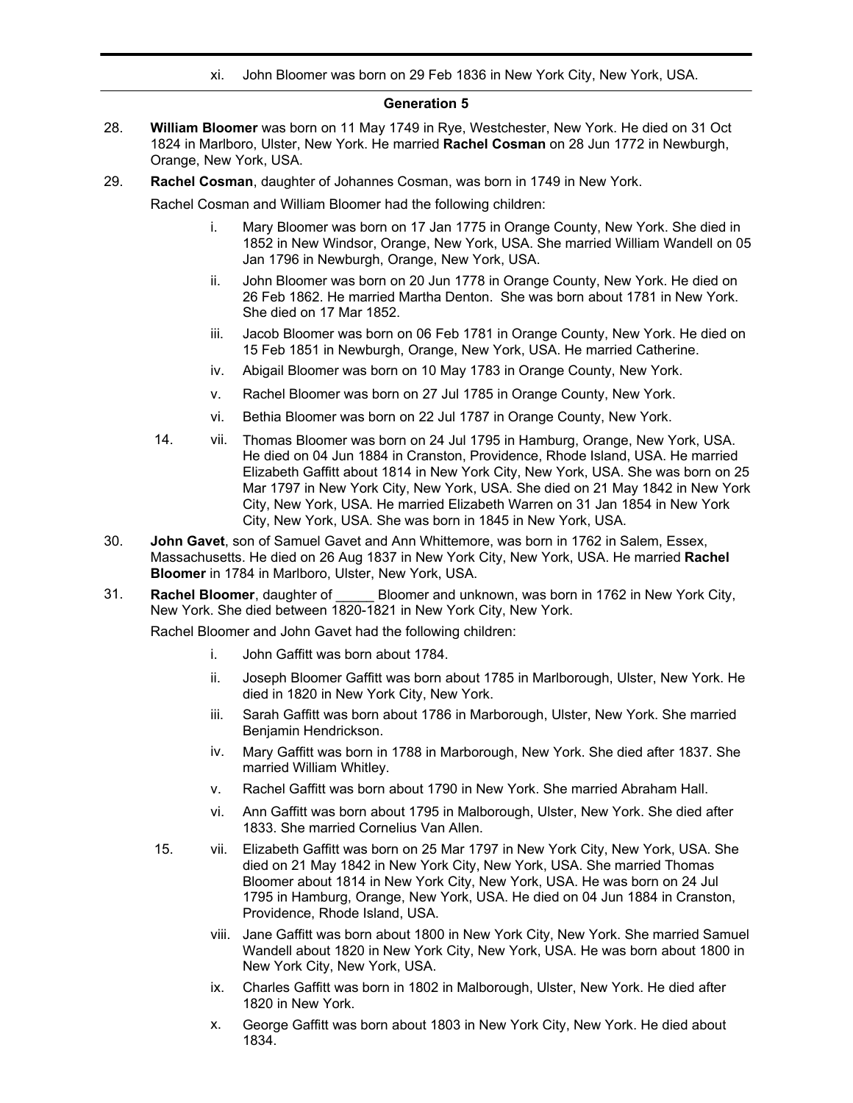xi. John Bloomer was born on 29 Feb 1836 in New York City, New York, USA.

#### **Generation 5**

- **William Bloomer** was born on 11 May 1749 in Rye, Westchester, New York. He died on 31 Oct 1824 in Marlboro, Ulster, New York. He married **Rachel Cosman** on 28 Jun 1772 in Newburgh, Orange, New York, USA. 28.
- 29. **Rachel Cosman**, daughter of Johannes Cosman, was born in 1749 in New York.

Rachel Cosman and William Bloomer had the following children:

- i. Mary Bloomer was born on 17 Jan 1775 in Orange County, New York. She died in 1852 in New Windsor, Orange, New York, USA. She married William Wandell on 05 Jan 1796 in Newburgh, Orange, New York, USA.
- ii. John Bloomer was born on 20 Jun 1778 in Orange County, New York. He died on 26 Feb 1862. He married Martha Denton. She was born about 1781 in New York. She died on 17 Mar 1852.
- iii. Jacob Bloomer was born on 06 Feb 1781 in Orange County, New York. He died on 15 Feb 1851 in Newburgh, Orange, New York, USA. He married Catherine.
- iv. Abigail Bloomer was born on 10 May 1783 in Orange County, New York.
- v. Rachel Bloomer was born on 27 Jul 1785 in Orange County, New York.
- vi. Bethia Bloomer was born on 22 Jul 1787 in Orange County, New York.
- 14. vii. Thomas Bloomer was born on 24 Jul 1795 in Hamburg, Orange, New York, USA. He died on 04 Jun 1884 in Cranston, Providence, Rhode Island, USA. He married Elizabeth Gaffitt about 1814 in New York City, New York, USA. She was born on 25 Mar 1797 in New York City, New York, USA. She died on 21 May 1842 in New York City, New York, USA. He married Elizabeth Warren on 31 Jan 1854 in New York City, New York, USA. She was born in 1845 in New York, USA.
- **John Gavet**, son of Samuel Gavet and Ann Whittemore, was born in 1762 in Salem, Essex, Massachusetts. He died on 26 Aug 1837 in New York City, New York, USA. He married **Rachel Bloomer** in 1784 in Marlboro, Ulster, New York, USA. 30.
- **Rachel Bloomer**, daughter of \_\_\_\_\_ Bloomer and unknown, was born in 1762 in New York City, New York. She died between 1820-1821 in New York City, New York. 31.

Rachel Bloomer and John Gavet had the following children:

- i. John Gaffitt was born about 1784.
- ii. Joseph Bloomer Gaffitt was born about 1785 in Marlborough, Ulster, New York. He died in 1820 in New York City, New York.
- iii. Sarah Gaffitt was born about 1786 in Marborough, Ulster, New York. She married Benjamin Hendrickson.
- iv. Mary Gaffitt was born in 1788 in Marborough, New York. She died after 1837. She married William Whitley.
- v. Rachel Gaffitt was born about 1790 in New York. She married Abraham Hall.
- vi. Ann Gaffitt was born about 1795 in Malborough, Ulster, New York. She died after 1833. She married Cornelius Van Allen.
- 15. vii. Elizabeth Gaffitt was born on 25 Mar 1797 in New York City, New York, USA. She died on 21 May 1842 in New York City, New York, USA. She married Thomas Bloomer about 1814 in New York City, New York, USA. He was born on 24 Jul 1795 in Hamburg, Orange, New York, USA. He died on 04 Jun 1884 in Cranston, Providence, Rhode Island, USA.
	- viii. Jane Gaffitt was born about 1800 in New York City, New York. She married Samuel Wandell about 1820 in New York City, New York, USA. He was born about 1800 in New York City, New York, USA.
	- ix. Charles Gaffitt was born in 1802 in Malborough, Ulster, New York. He died after 1820 in New York.
	- x. George Gaffitt was born about 1803 in New York City, New York. He died about 1834.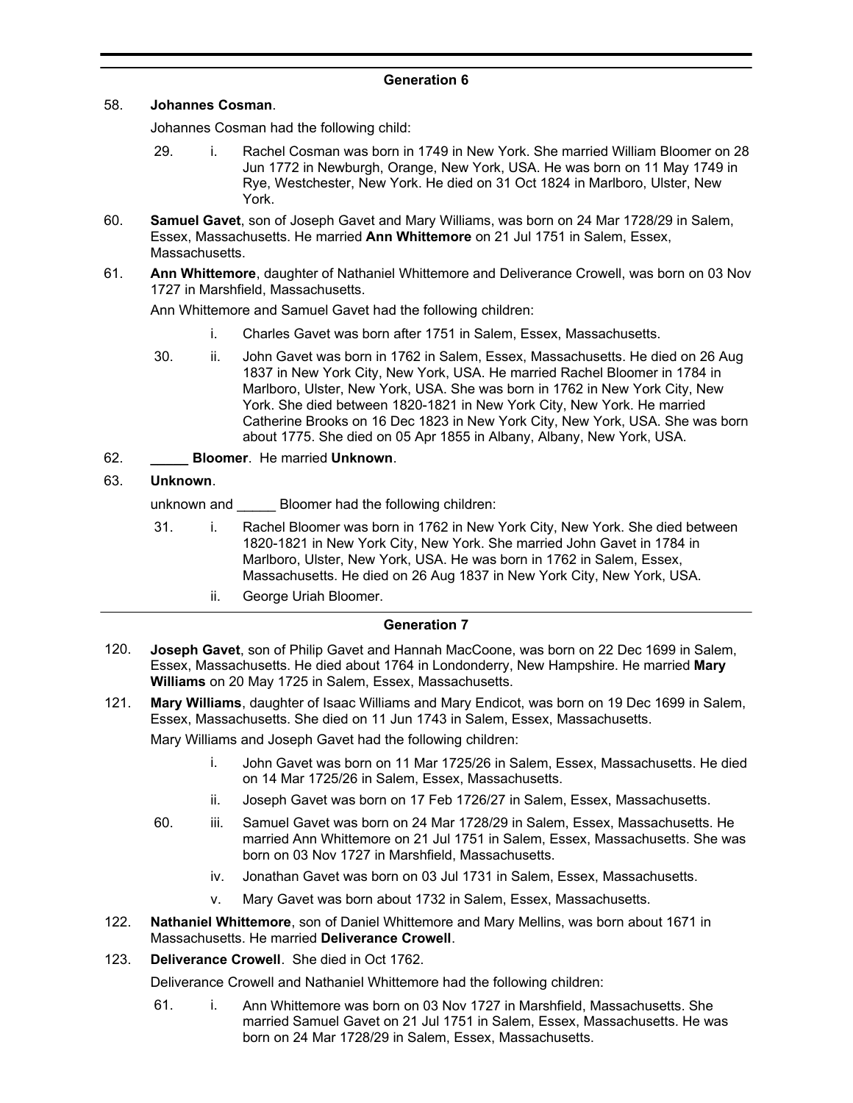### **Generation 6**

#### 58. **Johannes Cosman**.

Johannes Cosman had the following child:

- 29. i. Rachel Cosman was born in 1749 in New York. She married William Bloomer on 28 Jun 1772 in Newburgh, Orange, New York, USA. He was born on 11 May 1749 in Rye, Westchester, New York. He died on 31 Oct 1824 in Marlboro, Ulster, New York.
- **Samuel Gavet**, son of Joseph Gavet and Mary Williams, was born on 24 Mar 1728/29 in Salem, Essex, Massachusetts. He married **Ann Whittemore** on 21 Jul 1751 in Salem, Essex, Massachusetts. 60.
- **Ann Whittemore**, daughter of Nathaniel Whittemore and Deliverance Crowell, was born on 03 Nov 1727 in Marshfield, Massachusetts. 61.

Ann Whittemore and Samuel Gavet had the following children:

- i. Charles Gavet was born after 1751 in Salem, Essex, Massachusetts.
- 30. ii. John Gavet was born in 1762 in Salem, Essex, Massachusetts. He died on 26 Aug 1837 in New York City, New York, USA. He married Rachel Bloomer in 1784 in Marlboro, Ulster, New York, USA. She was born in 1762 in New York City, New York. She died between 1820-1821 in New York City, New York. He married Catherine Brooks on 16 Dec 1823 in New York City, New York, USA. She was born about 1775. She died on 05 Apr 1855 in Albany, Albany, New York, USA.

## 62. **\_\_\_\_\_ Bloomer**. He married **Unknown**.

## 63. **Unknown**.

unknown and **Bloomer had the following children:** 

- 31. i. Rachel Bloomer was born in 1762 in New York City, New York. She died between 1820-1821 in New York City, New York. She married John Gavet in 1784 in Marlboro, Ulster, New York, USA. He was born in 1762 in Salem, Essex, Massachusetts. He died on 26 Aug 1837 in New York City, New York, USA.
	- ii. George Uriah Bloomer.

## **Generation 7**

- **Joseph Gavet**, son of Philip Gavet and Hannah MacCoone, was born on 22 Dec 1699 in Salem, Essex, Massachusetts. He died about 1764 in Londonderry, New Hampshire. He married **Mary Williams** on 20 May 1725 in Salem, Essex, Massachusetts. 120.
- **Mary Williams**, daughter of Isaac Williams and Mary Endicot, was born on 19 Dec 1699 in Salem, Essex, Massachusetts. She died on 11 Jun 1743 in Salem, Essex, Massachusetts. 121.

Mary Williams and Joseph Gavet had the following children:

- i. John Gavet was born on 11 Mar 1725/26 in Salem, Essex, Massachusetts. He died on 14 Mar 1725/26 in Salem, Essex, Massachusetts.
- ii. Joseph Gavet was born on 17 Feb 1726/27 in Salem, Essex, Massachusetts.
- 60. iii. Samuel Gavet was born on 24 Mar 1728/29 in Salem, Essex, Massachusetts. He married Ann Whittemore on 21 Jul 1751 in Salem, Essex, Massachusetts. She was born on 03 Nov 1727 in Marshfield, Massachusetts.
	- iv. Jonathan Gavet was born on 03 Jul 1731 in Salem, Essex, Massachusetts.
	- v. Mary Gavet was born about 1732 in Salem, Essex, Massachusetts.
- **Nathaniel Whittemore**, son of Daniel Whittemore and Mary Mellins, was born about 1671 in Massachusetts. He married **Deliverance Crowell**. 122.
- 123. **Deliverance Crowell**. She died in Oct 1762.

Deliverance Crowell and Nathaniel Whittemore had the following children:

61. i. Ann Whittemore was born on 03 Nov 1727 in Marshfield, Massachusetts. She married Samuel Gavet on 21 Jul 1751 in Salem, Essex, Massachusetts. He was born on 24 Mar 1728/29 in Salem, Essex, Massachusetts.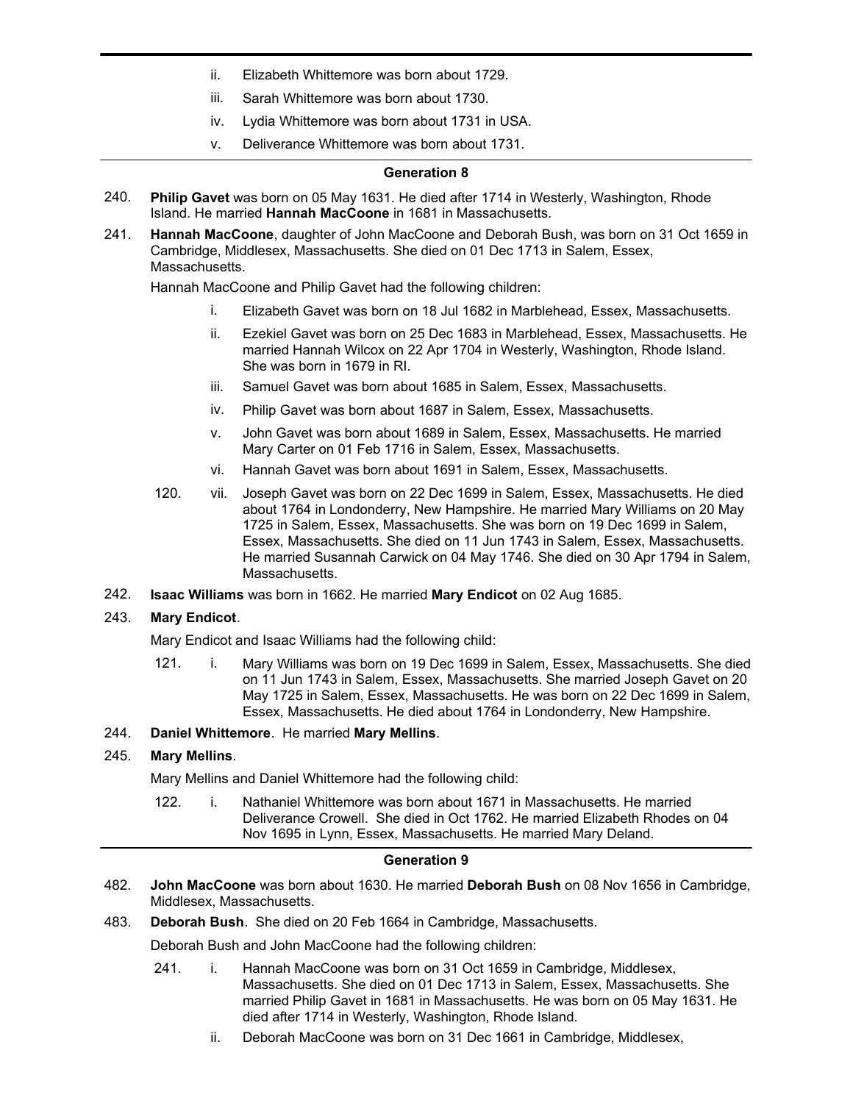- ii. Elizabeth Whittemore was born about 1729.
- iii. Sarah Whittemore was born about 1730.
- iv. Lydia Whittemore was born about 1731 in USA.
- v. Deliverance Whittemore was born about 1731.

### **Generation 8**

- **Philip Gavet** was born on 05 May 1631. He died after 1714 in Westerly, Washington, Rhode Island. He married **Hannah MacCoone** in 1681 in Massachusetts. 240.
- **Hannah MacCoone**, daughter of John MacCoone and Deborah Bush, was born on 31 Oct 1659 in Cambridge, Middlesex, Massachusetts. She died on 01 Dec 1713 in Salem, Essex, Massachusetts. 241.

Hannah MacCoone and Philip Gavet had the following children:

- i. Elizabeth Gavet was born on 18 Jul 1682 in Marblehead, Essex, Massachusetts.
- ii. Ezekiel Gavet was born on 25 Dec 1683 in Marblehead, Essex, Massachusetts. He married Hannah Wilcox on 22 Apr 1704 in Westerly, Washington, Rhode Island. She was born in 1679 in RI.
- iii. Samuel Gavet was born about 1685 in Salem, Essex, Massachusetts.
- iv. Philip Gavet was born about 1687 in Salem, Essex, Massachusetts.
- v. John Gavet was born about 1689 in Salem, Essex, Massachusetts. He married Mary Carter on 01 Feb 1716 in Salem, Essex, Massachusetts.
- vi. Hannah Gavet was born about 1691 in Salem, Essex, Massachusetts.
- 120. vii. Joseph Gavet was born on 22 Dec 1699 in Salem, Essex, Massachusetts. He died about 1764 in Londonderry, New Hampshire. He married Mary Williams on 20 May 1725 in Salem, Essex, Massachusetts. She was born on 19 Dec 1699 in Salem, Essex, Massachusetts. She died on 11 Jun 1743 in Salem, Essex, Massachusetts. He married Susannah Carwick on 04 May 1746. She died on 30 Apr 1794 in Salem, Massachusetts.
- 242. **Isaac Williams** was born in 1662. He married **Mary Endicot** on 02 Aug 1685.

## 243. **Mary Endicot**.

Mary Endicot and Isaac Williams had the following child:

121. i. Mary Williams was born on 19 Dec 1699 in Salem, Essex, Massachusetts. She died on 11 Jun 1743 in Salem, Essex, Massachusetts. She married Joseph Gavet on 20 May 1725 in Salem, Essex, Massachusetts. He was born on 22 Dec 1699 in Salem, Essex, Massachusetts. He died about 1764 in Londonderry, New Hampshire.

## 244. **Daniel Whittemore**. He married **Mary Mellins**.

## 245. **Mary Mellins**.

Mary Mellins and Daniel Whittemore had the following child:

122. i. Nathaniel Whittemore was born about 1671 in Massachusetts. He married Deliverance Crowell. She died in Oct 1762. He married Elizabeth Rhodes on 04 Nov 1695 in Lynn, Essex, Massachusetts. He married Mary Deland.

#### **Generation 9**

- **John MacCoone** was born about 1630. He married **Deborah Bush** on 08 Nov 1656 in Cambridge, Middlesex, Massachusetts. 482.
- 483. **Deborah Bush**. She died on 20 Feb 1664 in Cambridge, Massachusetts.

Deborah Bush and John MacCoone had the following children:

- 241. i. Hannah MacCoone was born on 31 Oct 1659 in Cambridge, Middlesex, Massachusetts. She died on 01 Dec 1713 in Salem, Essex, Massachusetts. She married Philip Gavet in 1681 in Massachusetts. He was born on 05 May 1631. He died after 1714 in Westerly, Washington, Rhode Island.
	- ii. Deborah MacCoone was born on 31 Dec 1661 in Cambridge, Middlesex,